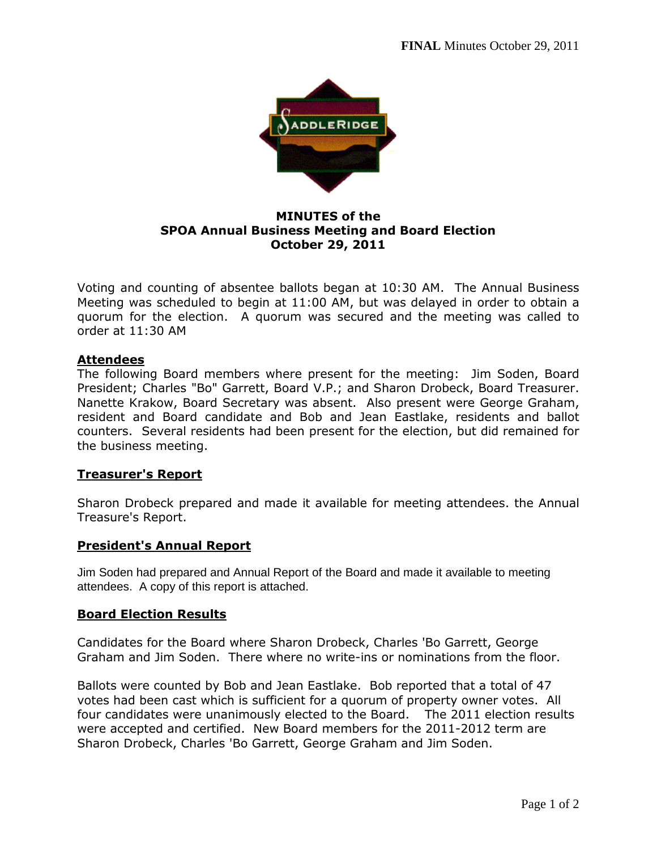

**MINUTES of the SPOA Annual Business Meeting and Board Election October 29, 2011** 

Voting and counting of absentee ballots began at 10:30 AM. The Annual Business Meeting was scheduled to begin at 11:00 AM, but was delayed in order to obtain a quorum for the election. A quorum was secured and the meeting was called to order at 11:30 AM

# **Attendees**

The following Board members where present for the meeting: Jim Soden, Board President; Charles "Bo" Garrett, Board V.P.; and Sharon Drobeck, Board Treasurer. Nanette Krakow, Board Secretary was absent. Also present were George Graham, resident and Board candidate and Bob and Jean Eastlake, residents and ballot counters. Several residents had been present for the election, but did remained for the business meeting.

### **Treasurer's Report**

Sharon Drobeck prepared and made it available for meeting attendees. the Annual Treasure's Report.

### **President's Annual Report**

Jim Soden had prepared and Annual Report of the Board and made it available to meeting attendees. A copy of this report is attached.

### **Board Election Results**

Candidates for the Board where Sharon Drobeck, Charles 'Bo Garrett, George Graham and Jim Soden. There where no write-ins or nominations from the floor.

Ballots were counted by Bob and Jean Eastlake. Bob reported that a total of 47 votes had been cast which is sufficient for a quorum of property owner votes. All four candidates were unanimously elected to the Board. The 2011 election results were accepted and certified. New Board members for the 2011-2012 term are Sharon Drobeck, Charles 'Bo Garrett, George Graham and Jim Soden.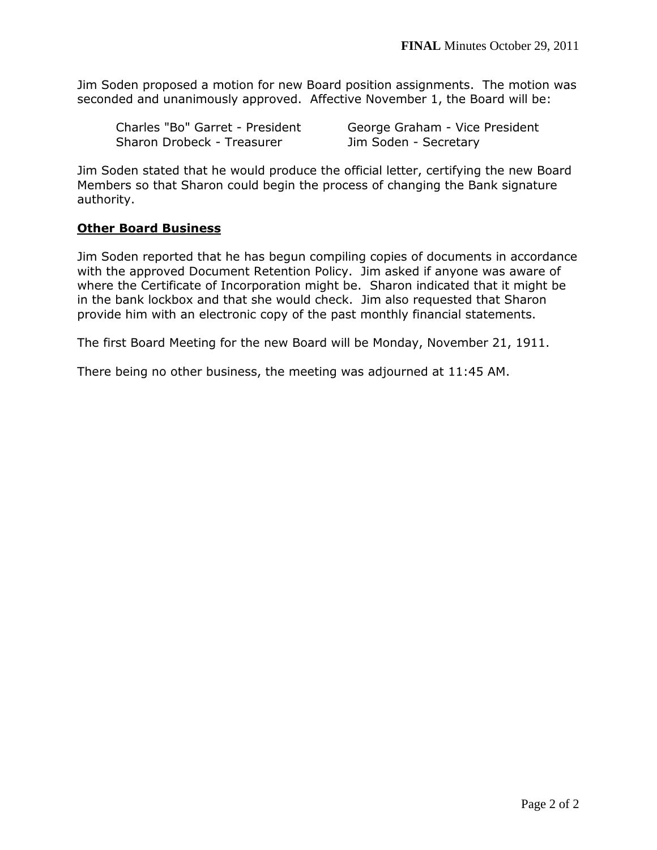Jim Soden proposed a motion for new Board position assignments. The motion was seconded and unanimously approved. Affective November 1, the Board will be:

Sharon Drobeck - Treasurer Jim Soden - Secretary

Charles "Bo" Garret - President George Graham - Vice President

Jim Soden stated that he would produce the official letter, certifying the new Board Members so that Sharon could begin the process of changing the Bank signature authority.

# **Other Board Business**

Jim Soden reported that he has begun compiling copies of documents in accordance with the approved Document Retention Policy. Jim asked if anyone was aware of where the Certificate of Incorporation might be. Sharon indicated that it might be in the bank lockbox and that she would check. Jim also requested that Sharon provide him with an electronic copy of the past monthly financial statements.

The first Board Meeting for the new Board will be Monday, November 21, 1911.

There being no other business, the meeting was adjourned at 11:45 AM.